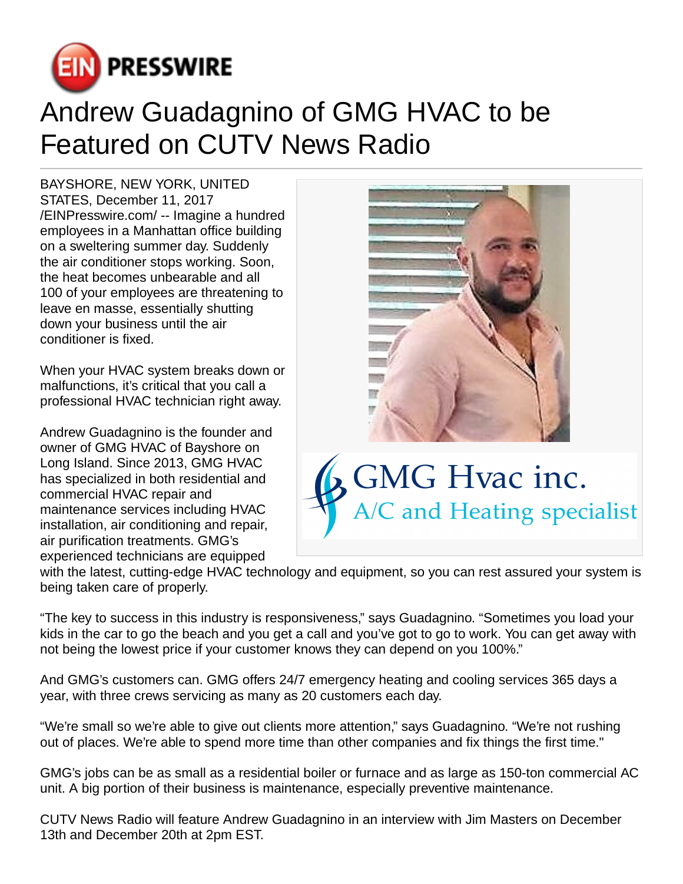

## Andrew Guadagnino of GMG HVAC to be Featured on CUTV News Radio

BAYSHORE, NEW YORK, UNITED STATES, December 11, 2017 [/EINPresswire.com](http://www.einpresswire.com)/ -- Imagine a hundred employees in a Manhattan office building on a sweltering summer day. Suddenly the air conditioner stops working. Soon, the heat becomes unbearable and all 100 of your employees are threatening to leave en masse, essentially shutting down your business until the air conditioner is fixed.

When your HVAC system breaks down or malfunctions, it's critical that you call a professional HVAC technician right away.

Andrew Guadagnino is the founder and owner of GMG HVAC of Bayshore on Long Island. Since 2013, GMG HVAC has specialized in both residential and commercial HVAC repair and maintenance services including HVAC installation, air conditioning and repair, air purification treatments. GMG's experienced technicians are equipped





with the latest, cutting-edge HVAC technology and equipment, so you can rest assured your system is being taken care of properly.

"The key to success in this industry is responsiveness," says Guadagnino. "Sometimes you load your kids in the car to go the beach and you get a call and you've got to go to work. You can get away with not being the lowest price if your customer knows they can depend on you 100%."

And GMG's customers can. GMG offers 24/7 emergency heating and cooling services 365 days a year, with three crews servicing as many as 20 customers each day.

"We're small so we're able to give out clients more attention," says Guadagnino. "We're not rushing out of places. We're able to spend more time than other companies and fix things the first time."

GMG's jobs can be as small as a residential boiler or furnace and as large as 150-ton commercial AC unit. A big portion of their business is maintenance, especially preventive maintenance.

CUTV News Radio will feature Andrew Guadagnino in an interview with Jim Masters on December 13th and December 20th at 2pm EST.